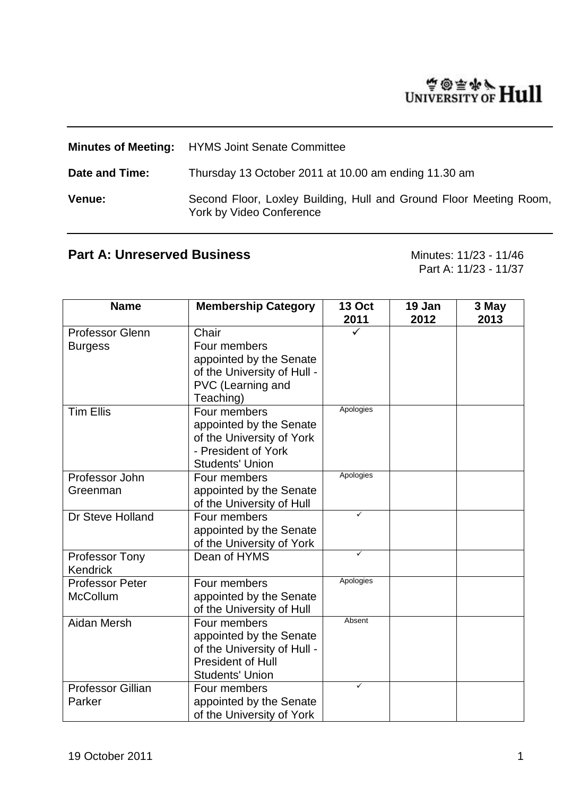# WINTERSITY OF Hull

|                | <b>Minutes of Meeting:</b> HYMS Joint Senate Committee                                         |
|----------------|------------------------------------------------------------------------------------------------|
| Date and Time: | Thursday 13 October 2011 at 10.00 am ending 11.30 am                                           |
| Venue:         | Second Floor, Loxley Building, Hull and Ground Floor Meeting Room,<br>York by Video Conference |

# Part A: Unreserved Business<br>
Minutes: 11/23 - 11/46

Part A: 11/23 - 11/37

| <b>Name</b>                               | <b>Membership Category</b>                                                                                                   | <b>13 Oct</b><br>2011 | 19 Jan<br>2012 | 3 May<br>2013 |
|-------------------------------------------|------------------------------------------------------------------------------------------------------------------------------|-----------------------|----------------|---------------|
| <b>Professor Glenn</b><br><b>Burgess</b>  | Chair<br>Four members<br>appointed by the Senate<br>of the University of Hull -<br>PVC (Learning and<br>Teaching)            |                       |                |               |
| <b>Tim Ellis</b>                          | Four members<br>appointed by the Senate<br>of the University of York<br>- President of York<br><b>Students' Union</b>        | Apologies             |                |               |
| Professor John<br>Greenman                | Four members<br>appointed by the Senate<br>of the University of Hull                                                         | Apologies             |                |               |
| Dr Steve Holland                          | Four members<br>appointed by the Senate<br>of the University of York                                                         | ✓                     |                |               |
| <b>Professor Tony</b><br>Kendrick         | Dean of HYMS                                                                                                                 | ✓                     |                |               |
| <b>Professor Peter</b><br><b>McCollum</b> | Four members<br>appointed by the Senate<br>of the University of Hull                                                         | Apologies             |                |               |
| <b>Aidan Mersh</b>                        | Four members<br>appointed by the Senate<br>of the University of Hull -<br><b>President of Hull</b><br><b>Students' Union</b> | Absent                |                |               |
| <b>Professor Gillian</b><br>Parker        | Four members<br>appointed by the Senate<br>of the University of York                                                         | ✓                     |                |               |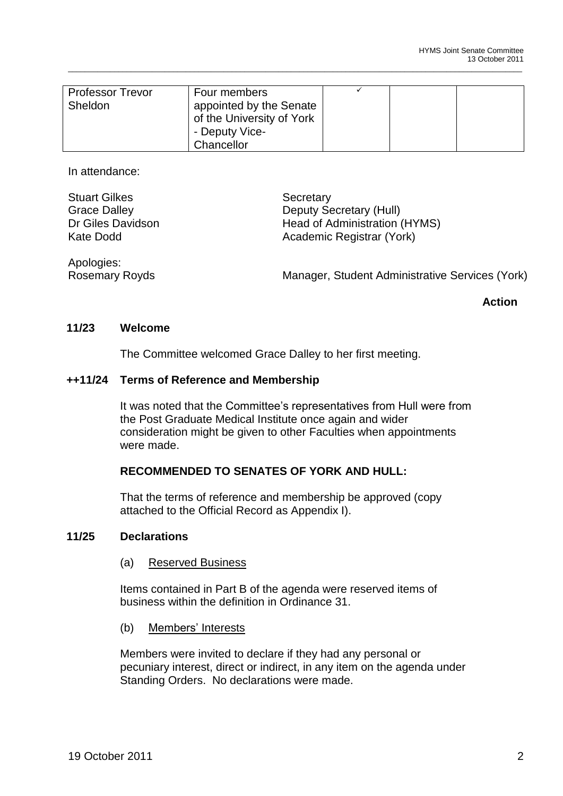| <b>Professor Trevor</b> | Four members              |  |  |
|-------------------------|---------------------------|--|--|
| Sheldon                 | appointed by the Senate   |  |  |
|                         | of the University of York |  |  |
|                         | - Deputy Vice-            |  |  |
|                         | Chancellor                |  |  |

\_\_\_\_\_\_\_\_\_\_\_\_\_\_\_\_\_\_\_\_\_\_\_\_\_\_\_\_\_\_\_\_\_\_\_\_\_\_\_\_\_\_\_\_\_\_\_\_\_\_\_\_\_\_\_\_\_\_\_\_\_\_\_\_\_\_\_\_\_\_\_\_\_\_\_\_\_\_\_\_\_\_\_\_\_\_\_\_\_\_\_\_\_\_\_\_\_\_\_\_\_\_\_\_\_\_\_\_

In attendance:

Stuart Gilkes Secretary Grace Dalley **Deputy Secretary (Hull)** Dr Giles Davidson Head of Administration (HYMS) Kate Dodd **Academic Registrar (York)** 

Apologies:<br>Rosemary Royds

Manager, Student Administrative Services (York)

**Action**

# **11/23 Welcome**

The Committee welcomed Grace Dalley to her first meeting.

# **++11/24 Terms of Reference and Membership**

It was noted that the Committee's representatives from Hull were from the Post Graduate Medical Institute once again and wider consideration might be given to other Faculties when appointments were made.

# **RECOMMENDED TO SENATES OF YORK AND HULL:**

That the terms of reference and membership be approved (copy attached to the Official Record as Appendix I).

#### **11/25 Declarations**

(a) Reserved Business

Items contained in Part B of the agenda were reserved items of business within the definition in Ordinance 31.

(b) Members' Interests

Members were invited to declare if they had any personal or pecuniary interest, direct or indirect, in any item on the agenda under Standing Orders. No declarations were made.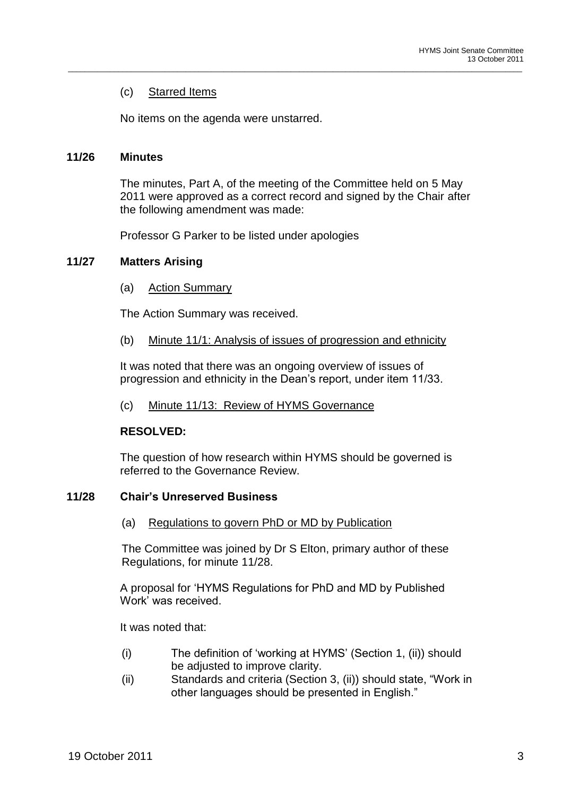# (c) Starred Items

No items on the agenda were unstarred.

### **11/26 Minutes**

The minutes, Part A, of the meeting of the Committee held on 5 May 2011 were approved as a correct record and signed by the Chair after the following amendment was made:

\_\_\_\_\_\_\_\_\_\_\_\_\_\_\_\_\_\_\_\_\_\_\_\_\_\_\_\_\_\_\_\_\_\_\_\_\_\_\_\_\_\_\_\_\_\_\_\_\_\_\_\_\_\_\_\_\_\_\_\_\_\_\_\_\_\_\_\_\_\_\_\_\_\_\_\_\_\_\_\_\_\_\_\_\_\_\_\_\_\_\_\_\_\_\_\_\_\_\_\_\_\_\_\_\_\_\_\_

Professor G Parker to be listed under apologies

# **11/27 Matters Arising**

(a) Action Summary

The Action Summary was received.

(b) Minute 11/1: Analysis of issues of progression and ethnicity

It was noted that there was an ongoing overview of issues of progression and ethnicity in the Dean"s report, under item 11/33.

(c) Minute 11/13: Review of HYMS Governance

# **RESOLVED:**

The question of how research within HYMS should be governed is referred to the Governance Review.

#### **11/28 Chair's Unreserved Business**

(a) Regulations to govern PhD or MD by Publication

The Committee was joined by Dr S Elton, primary author of these Regulations, for minute 11/28.

A proposal for "HYMS Regulations for PhD and MD by Published Work" was received.

It was noted that:

- (i) The definition of "working at HYMS" (Section 1, (ii)) should be adjusted to improve clarity.
- (ii) Standards and criteria (Section 3, (ii)) should state, "Work in other languages should be presented in English."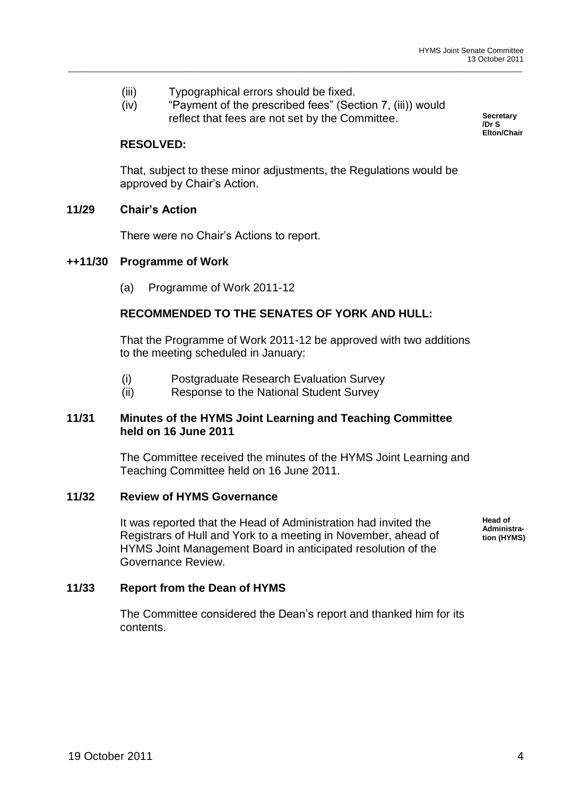- (iii) Typographical errors should be fixed.
- (iv) "Payment of the prescribed fees" (Section 7, (iii)) would reflect that fees are not set by the Committee.

\_\_\_\_\_\_\_\_\_\_\_\_\_\_\_\_\_\_\_\_\_\_\_\_\_\_\_\_\_\_\_\_\_\_\_\_\_\_\_\_\_\_\_\_\_\_\_\_\_\_\_\_\_\_\_\_\_\_\_\_\_\_\_\_\_\_\_\_\_\_\_\_\_\_\_\_\_\_\_\_\_\_\_\_\_\_\_\_\_\_\_\_\_\_\_\_\_\_\_\_\_\_\_\_\_\_\_\_

**Secretary /Dr S Elton/Chair**

# **RESOLVED:**

That, subject to these minor adjustments, the Regulations would be approved by Chair"s Action.

# **11/29 Chair's Action**

There were no Chair"s Actions to report.

#### **++11/30 Programme of Work**

(a) Programme of Work 2011-12

# **RECOMMENDED TO THE SENATES OF YORK AND HULL:**

That the Programme of Work 2011-12 be approved with two additions to the meeting scheduled in January:

- (i) Postgraduate Research Evaluation Survey
- (ii) Response to the National Student Survey

#### **11/31 Minutes of the HYMS Joint Learning and Teaching Committee held on 16 June 2011**

The Committee received the minutes of the HYMS Joint Learning and Teaching Committee held on 16 June 2011.

#### **11/32 Review of HYMS Governance**

It was reported that the Head of Administration had invited the Registrars of Hull and York to a meeting in November, ahead of HYMS Joint Management Board in anticipated resolution of the Governance Review.

**Head of Administration (HYMS)**

#### **11/33 Report from the Dean of HYMS**

The Committee considered the Dean"s report and thanked him for its contents.